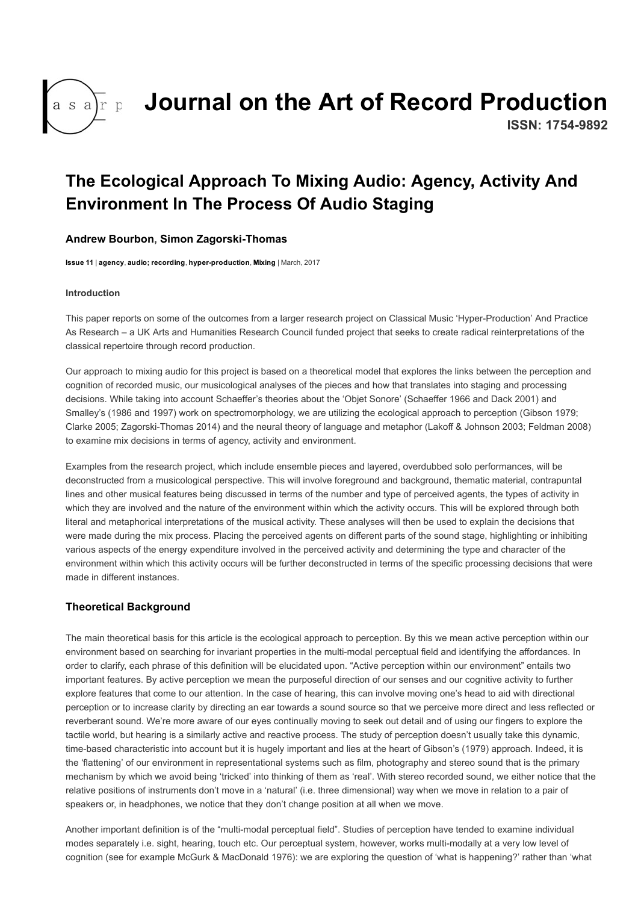

# [Journal on the Art of Record Production](http://arpjournal.com/)

ISSN: 1754-9892

# The Ecological Approach To Mixing Audio: Agency, Activity And Environment In The Process Of Audio Staging

## [Andrew Bourbon,](http://arpjournal.com/author/andrew-bourbon/) Simon Zagorski-Thomas

[Issue 11](http://arpjournal.com/content/issue-11/) | [agency,](http://arpjournal.com/theme/agency/) [audio; recording,](http://arpjournal.com/theme/audio-recording/) hyper-production, [Mixing](http://arpjournal.com/theme/mixing/) | March, 2017

#### Introduction

This paper reports on some of the outcomes from a larger research project on Classical Music 'Hyper-Production' And Practice As Research – a UK Arts and Humanities Research Council funded project that seeks to create radical reinterpretations of the classical repertoire through record production.

Our approach to mixing audio for this project is based on a theoretical model that explores the links between the perception and cognition of recorded music, our musicological analyses of the pieces and how that translates into staging and processing decisions. While taking into account Schaeffer's theories about the 'Objet Sonore' (Schaeffer 1966 and Dack 2001) and Smalley's (1986 and 1997) work on spectromorphology, we are utilizing the ecological approach to perception (Gibson 1979; Clarke 2005; Zagorski-Thomas 2014) and the neural theory of language and metaphor (Lakoff & Johnson 2003; Feldman 2008) to examine mix decisions in terms of agency, activity and environment.

Examples from the research project, which include ensemble pieces and layered, overdubbed solo performances, will be deconstructed from a musicological perspective. This will involve foreground and background, thematic material, contrapuntal lines and other musical features being discussed in terms of the number and type of perceived agents, the types of activity in which they are involved and the nature of the environment within which the activity occurs. This will be explored through both literal and metaphorical interpretations of the musical activity. These analyses will then be used to explain the decisions that were made during the mix process. Placing the perceived agents on different parts of the sound stage, highlighting or inhibiting various aspects of the energy expenditure involved in the perceived activity and determining the type and character of the environment within which this activity occurs will be further deconstructed in terms of the specific processing decisions that were made in different instances.

# Theoretical Background

The main theoretical basis for this article is the ecological approach to perception. By this we mean active perception within our environment based on searching for invariant properties in the multi-modal perceptual field and identifying the affordances. In order to clarify, each phrase of this definition will be elucidated upon. "Active perception within our environment" entails two important features. By active perception we mean the purposeful direction of our senses and our cognitive activity to further explore features that come to our attention. In the case of hearing, this can involve moving one's head to aid with directional perception or to increase clarity by directing an ear towards a sound source so that we perceive more direct and less reflected or reverberant sound. We're more aware of our eyes continually moving to seek out detail and of using our fingers to explore the tactile world, but hearing is a similarly active and reactive process. The study of perception doesn't usually take this dynamic, time-based characteristic into account but it is hugely important and lies at the heart of Gibson's (1979) approach. Indeed, it is the 'flattening' of our environment in representational systems such as film, photography and stereo sound that is the primary mechanism by which we avoid being 'tricked' into thinking of them as 'real'. With stereo recorded sound, we either notice that the relative positions of instruments don't move in a 'natural' (i.e. three dimensional) way when we move in relation to a pair of speakers or, in headphones, we notice that they don't change position at all when we move.

Another important definition is of the "multi-modal perceptual field". Studies of perception have tended to examine individual modes separately i.e. sight, hearing, touch etc. Our perceptual system, however, works multi-modally at a very low level of cognition (see for example McGurk & MacDonald 1976): we are exploring the question of 'what is happening?' rather than 'what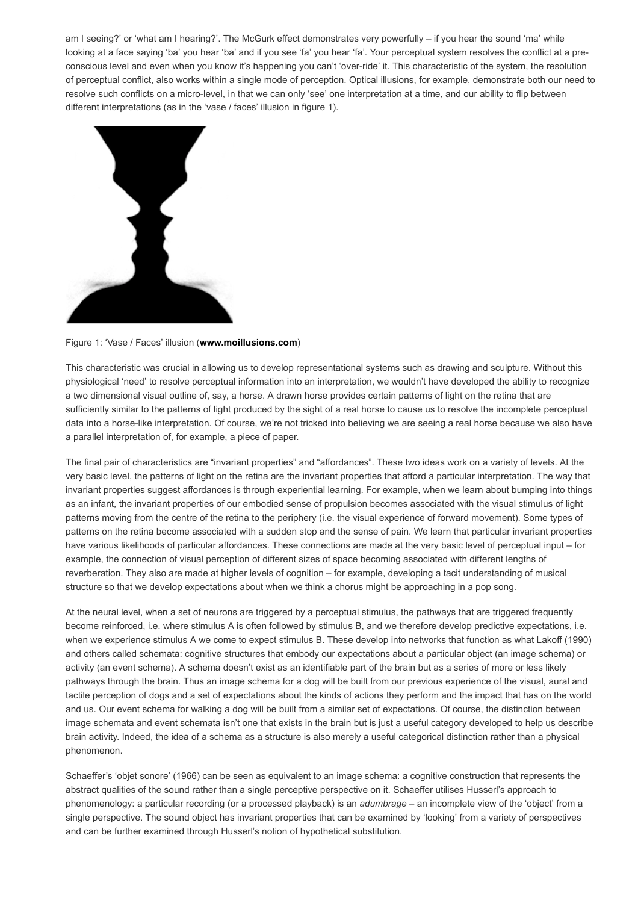am Iseeing?' or 'what am Ihearing?'. The McGurk effect demonstrates very powerfully – if you hear the sound 'ma' while looking at a face saying 'ba' you hear 'ba' and if you see 'fa' you hear 'fa'. Your perceptual system resolves the conflict at a preconscious level and even when you know it's happening you can't 'override' it. This characteristic of the system, the resolution of perceptual conflict, also works within a single mode of perception. Optical illusions, for example, demonstrate both our need to resolve such conflicts on a micro-level, in that we can only 'see' one interpretation at a time, and our ability to flip between different interpretations (as in the 'vase / faces' illusion in figure 1).



Figure 1: 'Vase / Faces' illusion [\(www.moillusions.com](https://www.moillusions.com/))

This characteristic was crucial in allowing us to develop representational systems such as drawing and sculpture. Without this physiological 'need' to resolve perceptual information into an interpretation, we wouldn't have developed the ability to recognize a two dimensional visual outline of, say, a horse. A drawn horse provides certain patterns of light on the retina that are sufficiently similar to the patterns of light produced by the sight of a real horse to cause us to resolve the incomplete perceptual data into a horse-like interpretation. Of course, we're not tricked into believing we are seeing a real horse because we also have a parallel interpretation of, for example, a piece of paper.

The final pair of characteristics are "invariant properties" and "affordances". These two ideas work on a variety of levels. At the very basic level, the patterns of light on the retina are the invariant properties that afford a particular interpretation. The way that invariant properties suggest affordances is through experiential learning. For example, when we learn about bumping into things as an infant, the invariant properties of our embodied sense of propulsion becomes associated with the visual stimulus of light patterns moving from the centre of the retina to the periphery (i.e. the visual experience of forward movement). Some types of patterns on the retina become associated with a sudden stop and the sense of pain. We learn that particular invariant properties have various likelihoods of particular affordances. These connections are made at the very basic level of perceptual input – for example, the connection of visual perception of different sizes of space becoming associated with different lengths of reverberation. They also are made at higher levels of cognition – for example, developing a tacit understanding of musical structure so that we develop expectations about when we think a chorus might be approaching in a pop song.

At the neural level, when a set of neurons are triggered by a perceptual stimulus, the pathways that are triggered frequently become reinforced, i.e. where stimulus A is often followed by stimulus B, and we therefore develop predictive expectations, i.e. when we experience stimulus A we come to expect stimulus B. These develop into networks that function as what Lakoff (1990) and others called schemata: cognitive structures that embody our expectations about a particular object (an image schema) or activity (an event schema). A schema doesn't exist as an identifiable part of the brain but as a series of more or less likely pathways through the brain. Thus an image schema for a dog will be built from our previous experience of the visual, aural and tactile perception of dogs and a set of expectations about the kinds of actions they perform and the impact that has on the world and us. Our event schema for walking a dog will be built from a similar set of expectations. Of course, the distinction between image schemata and event schemata isn't one that exists in the brain but is just a useful category developed to help us describe brain activity. Indeed, the idea of a schema as a structure is also merely a useful categorical distinction rather than a physical phenomenon.

Schaeffer's 'objet sonore' (1966) can be seen as equivalent to an image schema: a cognitive construction that represents the abstract qualities of the sound rather than a single perceptive perspective on it. Schaeffer utilises Husserl's approach to phenomenology: a particular recording (or a processed playback) is an adumbrage – an incomplete view of the 'object' from a single perspective. The sound object has invariant properties that can be examined by 'looking' from a variety of perspectives and can be further examined through Husserl's notion of hypothetical substitution.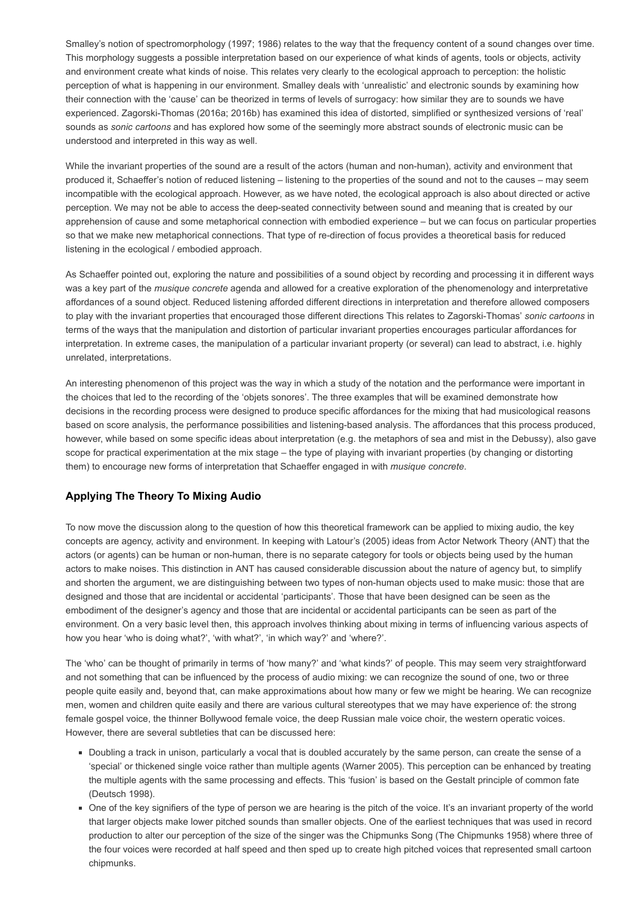Smalley's notion of spectromorphology (1997; 1986) relates to the way that the frequency content of a sound changes over time. This morphology suggests a possible interpretation based on our experience of what kinds of agents, tools or objects, activity and environment create what kinds of noise. This relates very clearly to the ecological approach to perception: the holistic perception of what is happening in our environment. Smalley deals with 'unrealistic' and electronic sounds by examining how their connection with the 'cause' can be theorized in terms of levels of surrogacy: how similar they are to sounds we have experienced. Zagorski-Thomas (2016a; 2016b) has examined this idea of distorted, simplified or synthesized versions of 'real' sounds as sonic cartoons and has explored how some of the seemingly more abstract sounds of electronic music can be understood and interpreted in this way as well.

While the invariant properties of the sound are a result of the actors (human and non-human), activity and environment that produced it, Schaeffer's notion of reduced listening – listening to the properties of the sound and not to the causes – may seem incompatible with the ecological approach. However, as we have noted, the ecological approach is also about directed or active perception. We may not be able to access the deep-seated connectivity between sound and meaning that is created by our apprehension of cause and some metaphorical connection with embodied experience – but we can focus on particular properties so that we make new metaphorical connections. That type of re-direction of focus provides a theoretical basis for reduced listening in the ecological / embodied approach.

As Schaeffer pointed out, exploring the nature and possibilities of a sound object by recording and processing it in different ways was a key part of the *musique concrete* agenda and allowed for a creative exploration of the phenomenology and interpretative affordances of a sound object. Reduced listening afforded different directions in interpretation and therefore allowed composers to play with the invariant properties that encouraged those different directions This relates to Zagorski-Thomas' sonic cartoons in terms of the ways that the manipulation and distortion of particular invariant properties encourages particular affordances for interpretation. In extreme cases, the manipulation of a particular invariant property (or several) can lead to abstract, i.e. highly unrelated, interpretations.

An interesting phenomenon of this project was the way in which a study of the notation and the performance were important in the choices that led to the recording of the 'objets sonores'. The three examples that will be examined demonstrate how decisions in the recording process were designed to produce specific affordances for the mixing that had musicological reasons based on score analysis, the performance possibilities and listening-based analysis. The affordances that this process produced, however, while based on some specific ideas about interpretation (e.g. the metaphors of sea and mist in the Debussy), also gave scope for practical experimentation at the mix stage – the type of playing with invariant properties (by changing or distorting them) to encourage new forms of interpretation that Schaeffer engaged in with *musique concrete*.

# Applying The Theory To Mixing Audio

To now move the discussion along to the question of how this theoretical framework can be applied to mixing audio, the key concepts are agency, activity and environment. In keeping with Latour's (2005) ideas from Actor Network Theory (ANT) that the actors (or agents) can be human or non-human, there is no separate category for tools or objects being used by the human actors to make noises. This distinction in ANT has caused considerable discussion about the nature of agency but, to simplify and shorten the argument, we are distinguishing between two types of non-human objects used to make music: those that are designed and those that are incidental or accidental 'participants'. Those that have been designed can be seen as the embodiment of the designer's agency and those that are incidental or accidental participants can be seen as part of the environment. On a very basic level then, this approach involves thinking about mixing in terms of influencing various aspects of how you hear 'who is doing what?', 'with what?', 'in which way?' and 'where?'.

The 'who' can be thought of primarily in terms of 'how many?' and 'what kinds?' of people. This may seem very straightforward and not something that can be influenced by the process of audio mixing: we can recognize the sound of one, two or three people quite easily and, beyond that, can make approximations about how many or few we might be hearing. We can recognize men, women and children quite easily and there are various cultural stereotypes that we may have experience of: the strong female gospel voice, the thinner Bollywood female voice, the deep Russian male voice choir, the western operatic voices. However, there are several subtleties that can be discussed here:

- Doubling a track in unison, particularly a vocal that is doubled accurately by the same person, can create the sense of a 'special' or thickened single voice rather than multiple agents (Warner 2005). This perception can be enhanced by treating the multiple agents with the same processing and effects. This 'fusion' is based on the Gestalt principle of common fate (Deutsch 1998).
- One of the key signifiers of the type of person we are hearing is the pitch of the voice. It's an invariant property of the world that larger objects make lower pitched sounds than smaller objects. One of the earliest techniques that was used in record production to alter our perception of the size of the singer was the Chipmunks Song (The Chipmunks 1958) where three of the four voices were recorded at half speed and then sped up to create high pitched voices that represented small cartoon chipmunks.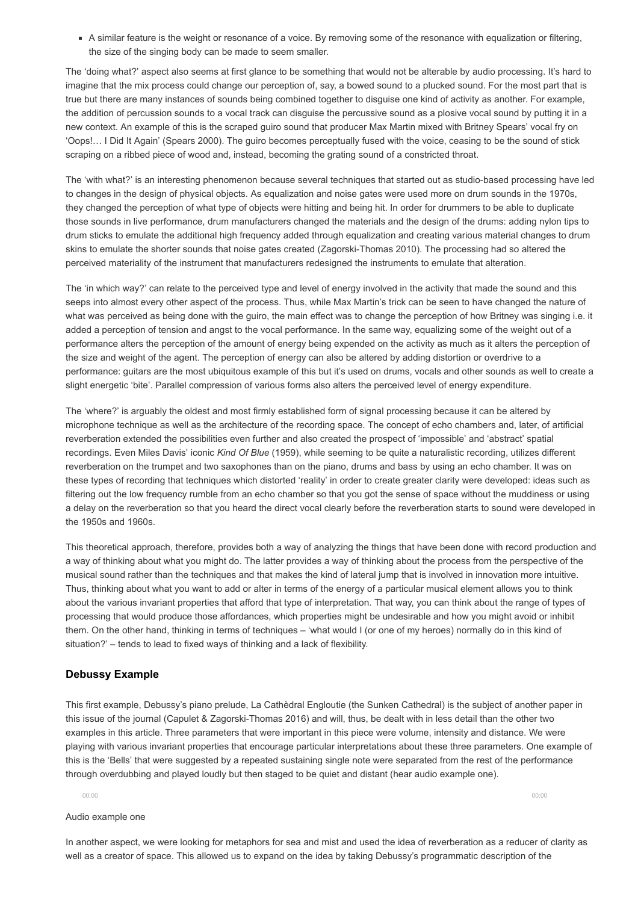A similar feature is the weight or resonance of a voice. By removing some of the resonance with equalization or filtering, the size of the singing body can be made to seem smaller.

The 'doing what?' aspect also seems at first glance to be something that would not be alterable by audio processing. It's hard to imagine that the mix process could change our perception of, say, a bowed sound to a plucked sound. For the most part that is true but there are many instances of sounds being combined together to disguise one kind of activity as another. For example, the addition of percussion sounds to a vocal track can disguise the percussive sound as a plosive vocal sound by putting it in a new context. An example of this is the scraped guiro sound that producer Max Martin mixed with Britney Spears' vocal fry on 'Oops!… I Did It Again' (Spears 2000). The guiro becomes perceptually fused with the voice, ceasing to be the sound of stick scraping on a ribbed piece of wood and, instead, becoming the grating sound of a constricted throat.

The 'with what?' is an interesting phenomenon because several techniques that started out as studio-based processing have led to changes in the design of physical objects. As equalization and noise gates were used more on drum sounds in the 1970s, they changed the perception of what type of objects were hitting and being hit. In order for drummers to be able to duplicate those sounds in live performance, drum manufacturers changed the materials and the design of the drums: adding nylon tips to drum sticks to emulate the additional high frequency added through equalization and creating various material changes to drum skins to emulate the shorter sounds that noise gates created (Zagorski-Thomas 2010). The processing had so altered the perceived materiality of the instrument that manufacturers redesigned the instruments to emulate that alteration.

The 'in which way?' can relate to the perceived type and level of energy involved in the activity that made the sound and this seeps into almost every other aspect of the process. Thus, while Max Martin's trick can be seen to have changed the nature of what was perceived as being done with the guiro, the main effect was to change the perception of how Britney was singing i.e. it added a perception of tension and angst to the vocal performance. In the same way, equalizing some of the weight out of a performance alters the perception of the amount of energy being expended on the activity as much as it alters the perception of the size and weight of the agent. The perception of energy can also be altered by adding distortion or overdrive to a performance: guitars are the most ubiquitous example of this but it's used on drums, vocals and other sounds as well to create a slight energetic 'bite'. Parallel compression of various forms also alters the perceived level of energy expenditure.

The 'where?' is arguably the oldest and most firmly established form of signal processing because it can be altered by microphone technique as well as the architecture of the recording space. The concept of echo chambers and, later, of artificial reverberation extended the possibilities even further and also created the prospect of 'impossible' and 'abstract' spatial recordings. Even Miles Davis' iconic Kind Of Blue (1959), while seeming to be quite a naturalistic recording, utilizes different reverberation on the trumpet and two saxophones than on the piano, drums and bass by using an echo chamber. It was on these types of recording that techniques which distorted 'reality' in order to create greater clarity were developed: ideas such as filtering out the low frequency rumble from an echo chamber so that you got the sense of space without the muddiness or using a delay on the reverberation so that you heard the direct vocal clearly before the reverberation starts to sound were developed in the 1950s and 1960s.

This theoretical approach, therefore, provides both a way of analyzing the things that have been done with record production and a way of thinking about what you might do. The latter provides a way of thinking about the process from the perspective of the musical sound rather than the techniques and that makes the kind of lateral jump that is involved in innovation more intuitive. Thus, thinking about what you want to add or alter in terms of the energy of a particular musical element allows you to think about the various invariant properties that afford that type of interpretation. That way, you can think about the range of types of processing that would produce those affordances, which properties might be undesirable and how you might avoid or inhibit them. On the other hand, thinking in terms of techniques – 'what would I (or one of my heroes) normally do in this kind of situation?' – tends to lead to fixed ways of thinking and a lack of flexibility.

#### Debussy Example

This first example, Debussy's piano prelude, La Cathèdral Engloutie (the Sunken Cathedral) is the subject of another paper in this issue of the journal (Capulet & Zagorski-Thomas 2016) and will, thus, be dealt with in less detail than the other two examples in this article. Three parameters that were important in this piece were volume, intensity and distance. We were playing with various invariant properties that encourage particular interpretations about these three parameters. One example of this is the 'Bells' that were suggested by a repeated sustaining single note were separated from the rest of the performance through overdubbing and played loudly but then staged to be quiet and distant (hear audio example one).

00:00 00:00

#### Audio example one

In another aspect, we were looking for metaphors for sea and mist and used the idea of reverberation as a reducer of clarity as well as a creator of space. This allowed us to expand on the idea by taking Debussy's programmatic description of the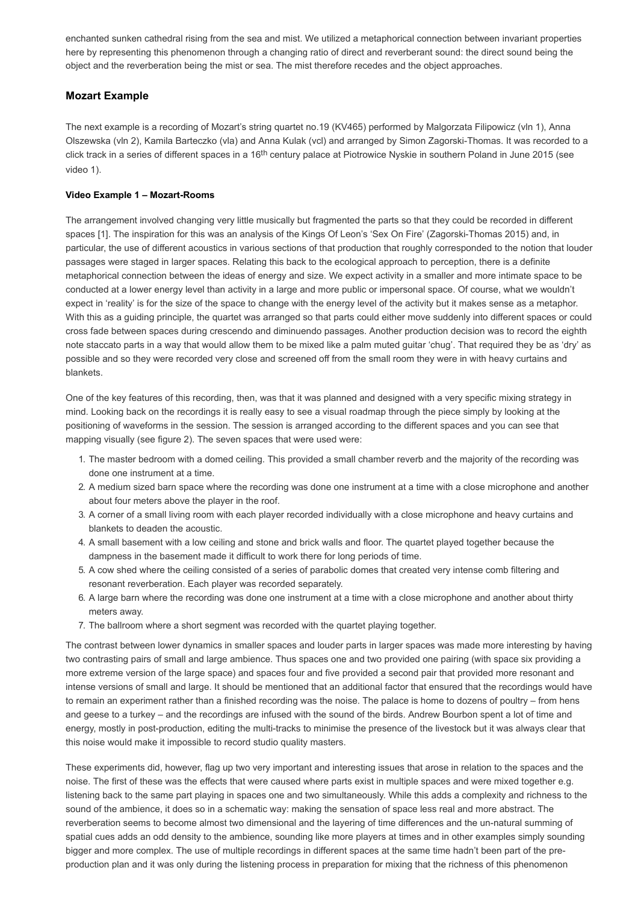enchanted sunken cathedral rising from the sea and mist. We utilized a metaphorical connection between invariant properties here by representing this phenomenon through a changing ratio of direct and reverberant sound: the direct sound being the object and the reverberation being the mist or sea. The mist therefore recedes and the object approaches.

## Mozart Example

The next example is a recording of Mozart's string quartet no.19 (KV465) performed by Malgorzata Filipowicz (vln 1), Anna Olszewska (vln 2), Kamila Barteczko (vla) and Anna Kulak (vcl) and arranged by Simon Zagorski-Thomas. It was recorded to a click track in a series of different spaces in a 16<sup>th</sup> century palace at Piotrowice Nyskie in southern Poland in June 2015 (see video 1).

#### Video Example 1 - Mozart-Rooms

The arrangement involved changing very little musically but fragmented the parts so that they could be recorded in different spaces [1]. The inspiration for this was an analysis of the Kings Of Leon's 'Sex On Fire' (Zagorski-Thomas 2015) and, in particular, the use of different acoustics in various sections of that production that roughly corresponded to the notion that louder passages were staged in larger spaces. Relating this back to the ecological approach to perception, there is a definite metaphorical connection between the ideas of energy and size. We expect activity in a smaller and more intimate space to be conducted at a lower energy level than activity in a large and more public or impersonal space. Of course, what we wouldn't expect in 'reality' is for the size of the space to change with the energy level of the activity but it makes sense as a metaphor. With this as a guiding principle, the quartet was arranged so that parts could either move suddenly into different spaces or could cross fade between spaces during crescendo and diminuendo passages. Another production decision was to record the eighth note staccato parts in a way that would allow them to be mixed like a palm muted guitar 'chug'. That required they be as 'dry' as possible and so they were recorded very close and screened off from the small room they were in with heavy curtains and blankets.

One of the key features of this recording, then, was that it was planned and designed with a very specific mixing strategy in mind. Looking back on the recordings it is really easy to see a visual roadmap through the piece simply by looking at the positioning of waveforms in the session. The session is arranged according to the different spaces and you can see that mapping visually (see figure 2). The seven spaces that were used were:

- 1. The master bedroom with a domed ceiling. This provided a small chamber reverb and the majority of the recording was done one instrument at a time.
- 2. A medium sized barn space where the recording was done one instrument at a time with a close microphone and another about four meters above the player in the roof.
- 3. A corner of a small living room with each player recorded individually with a close microphone and heavy curtains and blankets to deaden the acoustic.
- 4. A small basement with a low ceiling and stone and brick walls and floor. The quartet played together because the dampness in the basement made it difficult to work there for long periods of time.
- 5. A cow shed where the ceiling consisted of a series of parabolic domes that created very intense comb filtering and resonant reverberation. Each player was recorded separately.
- 6. A large barn where the recording was done one instrument at a time with a close microphone and another about thirty meters away.
- 7. The ballroom where a short segment was recorded with the quartet playing together.

The contrast between lower dynamics in smaller spaces and louder parts in larger spaces was made more interesting by having two contrasting pairs of small and large ambience. Thus spaces one and two provided one pairing (with space six providing a more extreme version of the large space) and spaces four and five provided a second pair that provided more resonant and intense versions of small and large. It should be mentioned that an additional factor that ensured that the recordings would have to remain an experiment rather than a finished recording was the noise. The palace is home to dozens of poultry – from hens and geese to a turkey – and the recordings are infused with the sound of the birds. Andrew Bourbon spent a lot of time and energy, mostly in post-production, editing the multi-tracks to minimise the presence of the livestock but it was always clear that this noise would make it impossible to record studio quality masters.

These experiments did, however, flag up two very important and interesting issues that arose in relation to the spaces and the noise. The first of these was the effects that were caused where parts exist in multiple spaces and were mixed together e.g. listening back to the same part playing in spaces one and two simultaneously. While this adds a complexity and richness to the sound of the ambience, it does so in a schematic way: making the sensation of space less real and more abstract. The reverberation seems to become almost two dimensional and the layering of time differences and the un-natural summing of spatial cues adds an odd density to the ambience, sounding like more players at times and in other examples simply sounding bigger and more complex. The use of multiple recordings in different spaces at the same time hadn't been part of the preproduction plan and it was only during the listening process in preparation for mixing that the richness of this phenomenon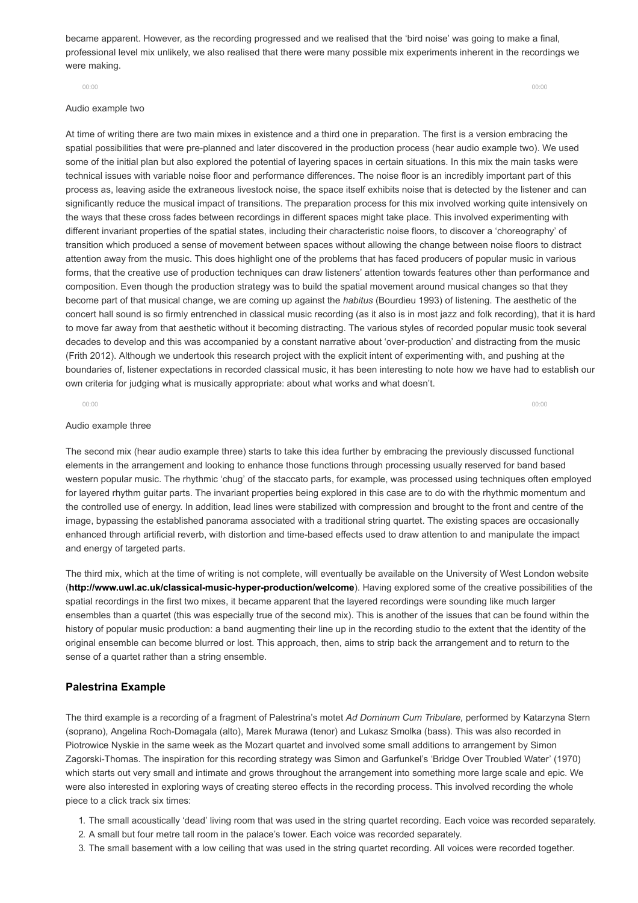became apparent. However, as the recording progressed and we realised that the 'bird noise' was going to make a final, professional level mix unlikely, we also realised that there were many possible mix experiments inherent in the recordings we were making.

#### Audio example two

At time of writing there are two main mixes in existence and a third one in preparation. The first is a version embracing the spatial possibilities that were pre-planned and later discovered in the production process (hear audio example two). We used some of the initial plan but also explored the potential of layering spaces in certain situations. In this mix the main tasks were technical issues with variable noise floor and performance differences. The noise floor is an incredibly important part of this process as, leaving aside the extraneous livestock noise, the space itself exhibits noise that is detected by the listener and can significantly reduce the musical impact of transitions. The preparation process for this mix involved working quite intensively on the ways that these cross fades between recordings in different spaces might take place. This involved experimenting with different invariant properties of the spatial states, including their characteristic noise floors, to discover a 'choreography' of transition which produced a sense of movement between spaces without allowing the change between noise floors to distract attention away from the music. This does highlight one of the problems that has faced producers of popular music in various forms, that the creative use of production techniques can draw listeners' attention towards features other than performance and composition. Even though the production strategy was to build the spatial movement around musical changes so that they become part of that musical change, we are coming up against the habitus (Bourdieu 1993) of listening. The aesthetic of the concert hall sound is so firmly entrenched in classical music recording (as it also is in most jazz and folk recording), that it is hard to move far away from that aesthetic without it becoming distracting. The various styles of recorded popular music took several decades to develop and this was accompanied by a constant narrative about 'over-production' and distracting from the music (Frith 2012). Although we undertook this research project with the explicit intent of experimenting with, and pushing at the boundaries of, listener expectations in recorded classical music, it has been interesting to note how we have had to establish our own criteria for judging what is musically appropriate: about what works and what doesn't.

00:00 00:00

#### Audio example three

The second mix (hear audio example three) starts to take this idea further by embracing the previously discussed functional elements in the arrangement and looking to enhance those functions through processing usually reserved for band based western popular music. The rhythmic 'chug' of the staccato parts, for example, was processed using techniques often employed for layered rhythm guitar parts. The invariant properties being explored in this case are to do with the rhythmic momentum and the controlled use of energy. In addition, lead lines were stabilized with compression and brought to the front and centre of the image, bypassing the established panorama associated with a traditional string quartet. The existing spaces are occasionally enhanced through artificial reverb, with distortion and time-based effects used to draw attention to and manipulate the impact and energy of targeted parts.

The third mix, which at the time of writing is not complete, will eventually be available on the University of West London website (http://www.uwl.ac.uk/classical-music-hyper-production/welcome). Having explored some of the creative possibilities of the spatial recordings in the first two mixes, it became apparent that the layered recordings were sounding like much larger ensembles than a quartet (this was especially true of the second mix). This is another of the issues that can be found within the history of popular music production: a band augmenting their line up in the recording studio to the extent that the identity of the original ensemble can become blurred or lost. This approach, then, aims to strip back the arrangement and to return to the sense of a quartet rather than a string ensemble.

#### Palestrina Example

The third example is a recording of a fragment of Palestrina's motet Ad Dominum Cum Tribulare, performed by Katarzyna Stern (soprano), Angelina Roch-Domagala (alto), Marek Murawa (tenor) and Lukasz Smolka (bass). This was also recorded in Piotrowice Nyskie in the same week as the Mozart quartet and involved some small additions to arrangement by Simon Zagorski-Thomas. The inspiration for this recording strategy was Simon and Garfunkel's 'Bridge Over Troubled Water' (1970) which starts out very small and intimate and grows throughout the arrangement into something more large scale and epic. We were also interested in exploring ways of creating stereo effects in the recording process. This involved recording the whole piece to a click track six times:

- 1. The small acoustically 'dead' living room that was used in the string quartet recording. Each voice was recorded separately.
- 2. A small but four metre tall room in the palace's tower. Each voice was recorded separately.
- 3. The small basement with a low ceiling that was used in the string quartet recording. All voices were recorded together.

00:00 00:00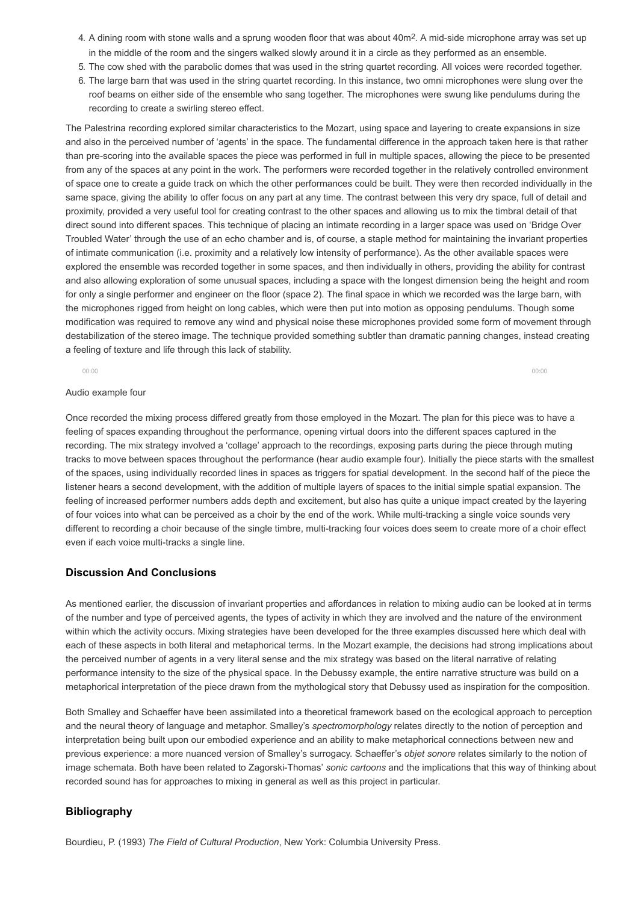- 4. A dining room with stone walls and a sprung wooden floor that was about  $40m^2$ . A mid-side microphone array was set up in the middle of the room and the singers walked slowly around it in a circle as they performed as an ensemble.
- 5. The cow shed with the parabolic domes that was used in the string quartet recording. All voices were recorded together.
- 6. The large barn that was used in the string quartet recording. In this instance, two omni microphones were slung over the roof beams on either side of the ensemble who sang together. The microphones were swung like pendulums during the recording to create a swirling stereo effect.

The Palestrina recording explored similar characteristics to the Mozart, using space and layering to create expansions in size and also in the perceived number of 'agents' in the space. The fundamental difference in the approach taken here is that rather than prescoring into the available spaces the piece was performed in full in multiple spaces, allowing the piece to be presented from any of the spaces at any point in the work. The performers were recorded together in the relatively controlled environment of space one to create a guide track on which the other performances could be built. They were then recorded individually in the same space, giving the ability to offer focus on any part at any time. The contrast between this very dry space, full of detail and proximity, provided a very useful tool for creating contrast to the other spaces and allowing us to mix the timbral detail of that direct sound into different spaces. This technique of placing an intimate recording in a larger space was used on 'Bridge Over Troubled Water' through the use of an echo chamber and is, of course, a staple method for maintaining the invariant properties of intimate communication (i.e. proximity and a relatively low intensity of performance). As the other available spaces were explored the ensemble was recorded together in some spaces, and then individually in others, providing the ability for contrast and also allowing exploration of some unusual spaces, including a space with the longest dimension being the height and room for only a single performer and engineer on the floor (space 2). The final space in which we recorded was the large barn, with the microphones rigged from height on long cables, which were then put into motion as opposing pendulums. Though some modification was required to remove any wind and physical noise these microphones provided some form of movement through destabilization of the stereo image. The technique provided something subtler than dramatic panning changes, instead creating a feeling of texture and life through this lack of stability.

00:00 00:00

#### Audio example four

Once recorded the mixing process differed greatly from those employed in the Mozart. The plan for this piece was to have a feeling of spaces expanding throughout the performance, opening virtual doors into the different spaces captured in the recording. The mix strategy involved a 'collage' approach to the recordings, exposing parts during the piece through muting tracks to move between spaces throughout the performance (hear audio example four). Initially the piece starts with the smallest of the spaces, using individually recorded lines in spaces as triggers for spatial development. In the second half of the piece the listener hears a second development, with the addition of multiple layers of spaces to the initial simple spatial expansion. The feeling of increased performer numbers adds depth and excitement, but also has quite a unique impact created by the layering of four voices into what can be perceived as a choir by the end of the work. While multi-tracking a single voice sounds very different to recording a choir because of the single timbre, multi-tracking four voices does seem to create more of a choir effect even if each voice multi-tracks a single line.

#### Discussion And Conclusions

As mentioned earlier, the discussion of invariant properties and affordances in relation to mixing audio can be looked at in terms of the number and type of perceived agents, the types of activity in which they are involved and the nature of the environment within which the activity occurs. Mixing strategies have been developed for the three examples discussed here which deal with each of these aspects in both literal and metaphorical terms. In the Mozart example, the decisions had strong implications about the perceived number of agents in a very literal sense and the mix strategy was based on the literal narrative of relating performance intensity to the size of the physical space. In the Debussy example, the entire narrative structure was build on a metaphorical interpretation of the piece drawn from the mythological story that Debussy used as inspiration for the composition.

Both Smalley and Schaeffer have been assimilated into a theoretical framework based on the ecological approach to perception and the neural theory of language and metaphor. Smalley's spectromorphology relates directly to the notion of perception and interpretation being built upon our embodied experience and an ability to make metaphorical connections between new and previous experience: a more nuanced version of Smalley's surrogacy. Schaeffer's objet sonore relates similarly to the notion of image schemata. Both have been related to Zagorski-Thomas' sonic cartoons and the implications that this way of thinking about recorded sound has for approaches to mixing in general as well as this project in particular.

#### Bibliography

Bourdieu, P. (1993) The Field of Cultural Production, New York: Columbia University Press.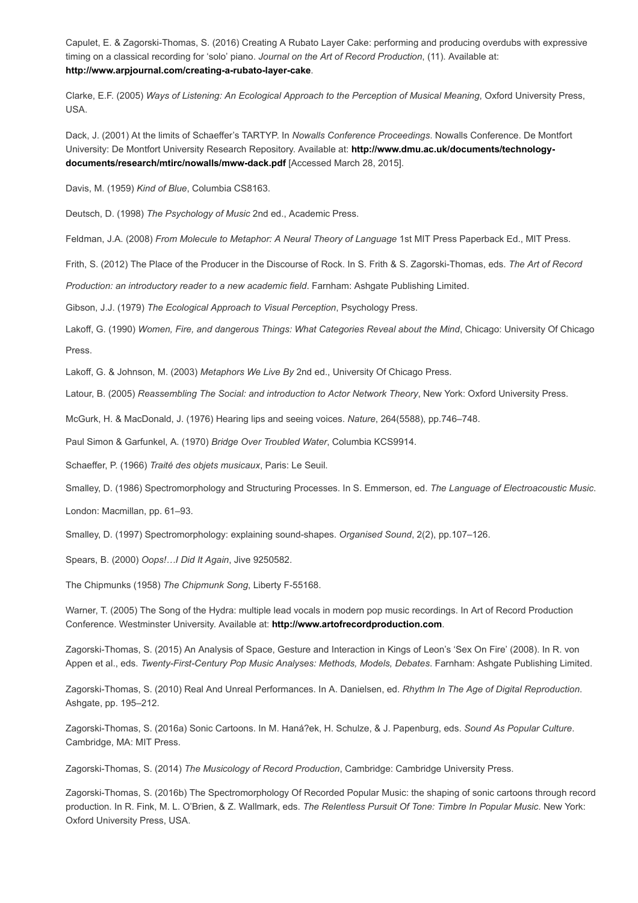Capulet, E. & Zagorski-Thomas, S. (2016) Creating A Rubato Layer Cake: performing and producing overdubs with expressive timing on a classical recording for 'solo' piano. Journal on the Art of Record Production, (11). Available at: http://www.arpjournal.com/creating-a-rubato-layer-cake.

Clarke, E.F. (2005) Ways of Listening: An Ecological Approach to the Perception of Musical Meaning, Oxford University Press, USA.

Dack, J. (2001) At the limits of Schaeffer's TARTYP. In Nowalls Conference Proceedings. Nowalls Conference. De Montfort [University: De Montfort University Research Repository. Available at: http://www.dmu.ac.uk/documents/technology](http://www.dmu.ac.uk/documents/technology-documents/research/mtirc/nowalls/mww-dack.pdf)documents/research/mtirc/nowalls/mwwdack.pdf [Accessed March 28, 2015].

Davis, M. (1959) Kind of Blue, Columbia CS8163.

Deutsch, D. (1998) The Psychology of Music 2nd ed., Academic Press.

Feldman, J.A. (2008) From Molecule to Metaphor: A Neural Theory of Language 1st MIT Press Paperback Ed., MIT Press.

Frith, S. (2012) The Place of the Producer in the Discourse of Rock. In S. Frith & S. Zagorski-Thomas, eds. The Art of Record

Production: an introductory reader to a new academic field. Farnham: Ashgate Publishing Limited.

Gibson, J.J. (1979) The Ecological Approach to Visual Perception, Psychology Press.

Lakoff, G. (1990) Women, Fire, and dangerous Things: What Categories Reveal about the Mind, Chicago: University Of Chicago Press.

Lakoff, G. & Johnson, M. (2003) Metaphors We Live By 2nd ed., University Of Chicago Press.

Latour, B. (2005) Reassembling The Social: and introduction to Actor Network Theory, New York: Oxford University Press.

McGurk, H. & MacDonald, J. (1976) Hearing lips and seeing voices. Nature, 264(5588), pp.746–748.

Paul Simon & Garfunkel, A. (1970) Bridge Over Troubled Water, Columbia KCS9914.

Schaeffer, P. (1966) Traité des objets musicaux, Paris: Le Seuil.

Smalley, D. (1986) Spectromorphology and Structuring Processes. In S. Emmerson, ed. The Language of Electroacoustic Music.

London: Macmillan, pp. 61–93.

Smalley, D. (1997) Spectromorphology: explaining sound-shapes. Organised Sound, 2(2), pp.107–126.

Spears, B. (2000) Oops!…I Did It Again, Jive 9250582.

The Chipmunks (1958) The Chipmunk Song, Liberty F-55168.

Warner, T. (2005) The Song of the Hydra: multiple lead vocals in modern pop music recordings. In Art of Record Production Conference. Westminster University. Available at: [http://www.artofrecordproduction.com](http://www.artofrecordproduction.com/).

Zagorski-Thomas, S. (2015) An Analysis of Space, Gesture and Interaction in Kings of Leon's 'Sex On Fire' (2008). In R. von Appen et al., eds. Twenty-First-Century Pop Music Analyses: Methods, Models, Debates. Farnham: Ashgate Publishing Limited.

Zagorski-Thomas, S. (2010) Real And Unreal Performances. In A. Danielsen, ed. Rhythm In The Age of Digital Reproduction. Ashgate, pp. 195–212.

Zagorski-Thomas, S. (2016a) Sonic Cartoons. In M. Haná?ek, H. Schulze, & J. Papenburg, eds. Sound As Popular Culture. Cambridge, MA: MIT Press.

Zagorski-Thomas, S. (2014) The Musicology of Record Production, Cambridge: Cambridge University Press.

Zagorski-Thomas, S. (2016b) The Spectromorphology Of Recorded Popular Music: the shaping of sonic cartoons through record production. In R. Fink, M. L. O'Brien, & Z. Wallmark, eds. The Relentless Pursuit Of Tone: Timbre In Popular Music. New York: Oxford University Press, USA.